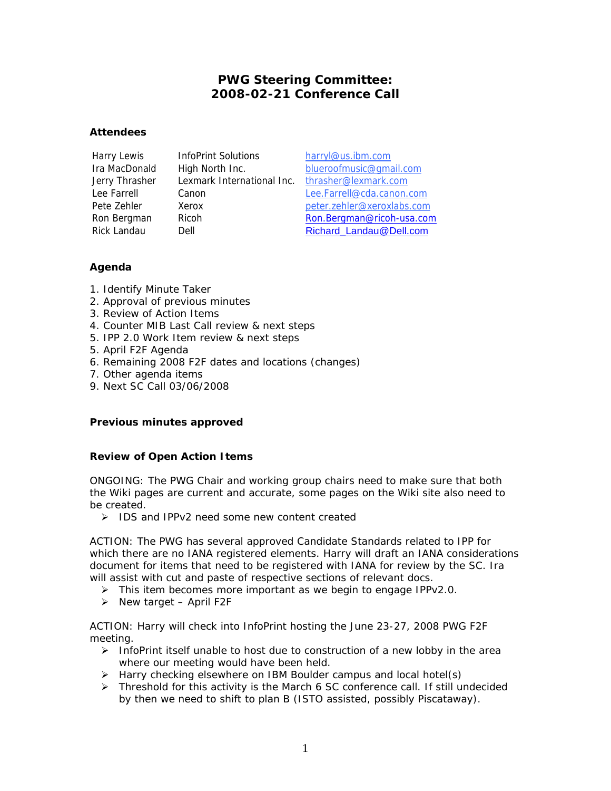# **PWG Steering Committee: 2008-02-21 Conference Call**

### **Attendees**

Harry Lewis InfoPrint Solutions harryl@us.ibm.com Jerry Thrasher Lexmark International Inc. thrasher@lexmark.com

Ira MacDonald High North Inc. blueroofmusic@gmail.com Lee Farrell Canon Lee.Farrell@cda.canon.com Pete Zehler Xerox **Xerox** peter.zehler@xeroxlabs.com Ron Bergman Ricoh Ron.Bergman@ricoh-usa.com Rick Landau Dell Dell Richard Landau@Dell.com

## **Agenda**

- 1. Identify Minute Taker
- 2. Approval of previous minutes
- 3. Review of Action Items
- 4. Counter MIB Last Call review & next steps
- 5. IPP 2.0 Work Item review & next steps
- 5. April F2F Agenda
- 6. Remaining 2008 F2F dates and locations (changes)
- 7. Other agenda items
- 9. Next SC Call 03/06/2008

## **Previous minutes approved**

## **Review of Open Action Items**

ONGOING: The PWG Chair and working group chairs need to make sure that both the Wiki pages are current and accurate, some pages on the Wiki site also need to be created.

¾ *IDS and IPPv2 need some new content created* 

ACTION: The PWG has several approved Candidate Standards related to IPP for which there are no IANA registered elements. Harry will draft an IANA considerations document for items that need to be registered with IANA for review by the SC. Ira will assist with cut and paste of respective sections of relevant docs.

- ¾ *This item becomes more important as we begin to engage IPPv2.0.*
- ¾ *New target April F2F*

ACTION: Harry will check into InfoPrint hosting the June 23-27, 2008 PWG F2F meeting.

- ¾ *InfoPrint itself unable to host due to construction of a new lobby in the area where our meeting would have been held.*
- ¾ *Harry checking elsewhere on IBM Boulder campus and local hotel(s)*
- ¾ *Threshold for this activity is the March 6 SC conference call. If still undecided by then we need to shift to plan B (ISTO assisted, possibly Piscataway).*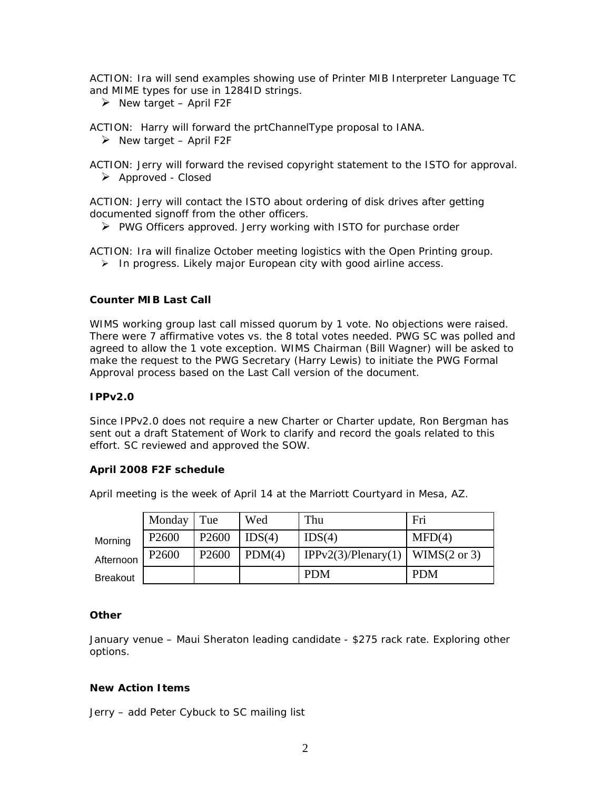ACTION: Ira will send examples showing use of Printer MIB Interpreter Language TC and MIME types for use in 1284ID strings.

¾ *New target – April F2F*

ACTION: Harry will forward the prtChannelType proposal to IANA.

¾ *New target – April F2F*

ACTION: Jerry will forward the revised copyright statement to the ISTO for approval. ¾ *Approved - Closed*

ACTION: Jerry will contact the ISTO about ordering of disk drives after getting documented signoff from the other officers.

¾ *PWG Officers approved. Jerry working with ISTO for purchase order*

ACTION: Ira will finalize October meeting logistics with the Open Printing group. ¾ *In progress. Likely major European city with good airline access.*

### **Counter MIB Last Call**

WIMS working group last call missed quorum by 1 vote. No objections were raised. There were 7 affirmative votes vs. the 8 total votes needed. PWG SC was polled and agreed to allow the 1 vote exception. WIMS Chairman (Bill Wagner) will be asked to make the request to the PWG Secretary (Harry Lewis) to initiate the PWG Formal Approval process based on the Last Call version of the document.

#### **IPPv2.0**

Since IPPv2.0 does not require a new Charter or Charter update, Ron Bergman has sent out a draft Statement of Work to clarify and record the goals related to this effort. SC reviewed and approved the SOW.

#### **April 2008 F2F schedule**

April meeting is the week of April 14 at the Marriott Courtyard in Mesa, AZ.

|                 | Monday Tue        |                   | Wed    | Thu                                | Fri        |
|-----------------|-------------------|-------------------|--------|------------------------------------|------------|
| Morning         | P <sub>2600</sub> | P <sub>2600</sub> | IDS(4) | IDS(4)                             | MFD(4)     |
| Afternoon       | P <sub>2600</sub> | P <sub>2600</sub> | PDM(4) | IPPv2(3)/Plenary(1)   WIMS(2 or 3) |            |
| <b>Breakout</b> |                   |                   |        | <b>PDM</b>                         | <b>PDM</b> |

#### **Other**

January venue – Maui Sheraton leading candidate - \$275 rack rate. Exploring other options.

### **New Action Items**

*Jerry – add Peter Cybuck to SC mailing list*